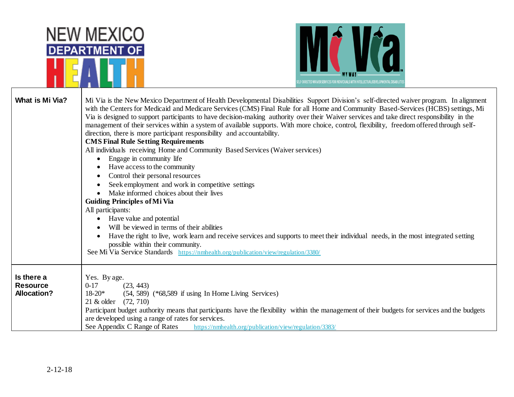|                                                     | <b>NEW MEXICO</b><br><b>DEPARTMENT OF</b><br>F-DIRECTED WAIVER SERVICES FOR INDIVIDUALS WITH INTELLECTUAL/DEVELOPMENTAL DISABILITI                                                                                                                                                                                                                                                                                                                                                                                                                                                                                                                                                                                                                                                                                                                                                                                                                                                                                                                                                                                                                                                                                                                                                                                                                                                                    |
|-----------------------------------------------------|-------------------------------------------------------------------------------------------------------------------------------------------------------------------------------------------------------------------------------------------------------------------------------------------------------------------------------------------------------------------------------------------------------------------------------------------------------------------------------------------------------------------------------------------------------------------------------------------------------------------------------------------------------------------------------------------------------------------------------------------------------------------------------------------------------------------------------------------------------------------------------------------------------------------------------------------------------------------------------------------------------------------------------------------------------------------------------------------------------------------------------------------------------------------------------------------------------------------------------------------------------------------------------------------------------------------------------------------------------------------------------------------------------|
| <b>What is Mi Via?</b>                              | Mi Via is the New Mexico Department of Health Developmental Disabilities Support Division's self-directed waiver program. In alignment<br>with the Centers for Medicaid and Medicare Services (CMS) Final Rule for all Home and Community Based-Services (HCBS) settings, Mi<br>Via is designed to support participants to have decision-making authority over their Waiver services and take direct responsibility in the<br>management of their services within a system of available supports. With more choice, control, flexibility, freedom offered through self-<br>direction, there is more participant responsibility and accountability.<br><b>CMS Final Rule Setting Requirements</b><br>All individuals receiving Home and Community Based Services (Waiver services)<br>Engage in community life<br>Have access to the community<br>Control their personal resources<br>Seek employment and work in competitive settings<br>Make informed choices about their lives<br><b>Guiding Principles of Mi Via</b><br>All participants:<br>Have value and potential<br>$\bullet$<br>Will be viewed in terms of their abilities<br>Have the right to live, work learn and receive services and supports to meet their individual needs, in the most integrated setting<br>possible within their community.<br>See Mi Via Service Standards https://nmhealth.org/publication/view/regulation/3380/ |
| Is there a<br><b>Resource</b><br><b>Allocation?</b> | Yes. By age.<br>$0 - 17$<br>(23, 443)<br>$18 - 20*$<br>(54, 589) (*68,589 if using In Home Living Services)<br>21 & older (72, 710)<br>Participant budget authority means that participants have the flexibility within the management of their budgets for services and the budgets<br>are developed using a range of rates for services.<br>See Appendix C Range of Rates<br>https://nmhealth.org/publication/view/regulation/3383/                                                                                                                                                                                                                                                                                                                                                                                                                                                                                                                                                                                                                                                                                                                                                                                                                                                                                                                                                                 |